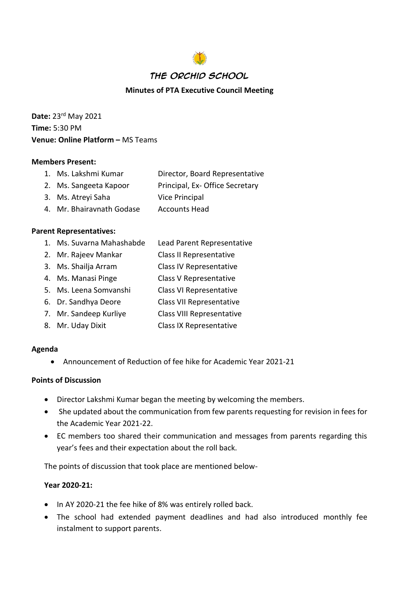

### **Minutes of PTA Executive Council Meeting**

**Date:** 23rd May 2021 **Time:** 5:30 PM **Venue: Online Platform – MS Teams** 

### **Members Present:**

| 1. Ms. Lakshmi Kumar | Director, Board Representative |
|----------------------|--------------------------------|
|----------------------|--------------------------------|

- 2. Ms. Sangeeta Kapoor Principal, Ex- Office Secretary
- 3. Ms. Atreyi Saha Vice Principal
- 4. Mr. Bhairavnath Godase Accounts Head

### **Parent Representatives:**

- 1. Ms. Suvarna Mahashabde Lead Parent Representative
- 2. Mr. Rajeev Mankar Class II Representative
- 3. Ms. Shailja Arram Class IV Representative
- 4. Ms. Manasi Pinge Class V Representative
- 5. Ms. Leena Somvanshi Class VI Representative
- 6. Dr. Sandhya Deore Class VII Representative
- 7. Mr. Sandeep Kurliye Class VIII Representative
- 8. Mr. Uday Dixit Class IX Representative

### **Agenda**

• Announcement of Reduction of fee hike for Academic Year 2021-21

### **Points of Discussion**

- Director Lakshmi Kumar began the meeting by welcoming the members.
- She updated about the communication from few parents requesting for revision in fees for the Academic Year 2021-22.
- EC members too shared their communication and messages from parents regarding this year's fees and their expectation about the roll back.

The points of discussion that took place are mentioned below-

### **Year 2020-21:**

- In AY 2020-21 the fee hike of 8% was entirely rolled back.
- The school had extended payment deadlines and had also introduced monthly fee instalment to support parents.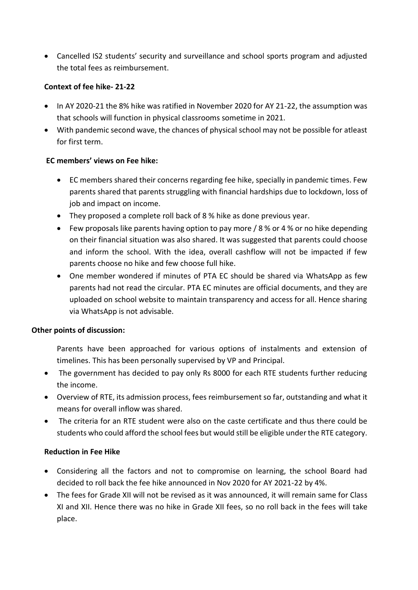• Cancelled IS2 students' security and surveillance and school sports program and adjusted the total fees as reimbursement.

### **Context of fee hike- 21-22**

- In AY 2020-21 the 8% hike was ratified in November 2020 for AY 21-22, the assumption was that schools will function in physical classrooms sometime in 2021.
- With pandemic second wave, the chances of physical school may not be possible for atleast for first term.

### **EC members' views on Fee hike:**

- EC members shared their concerns regarding fee hike, specially in pandemic times. Few parents shared that parents struggling with financial hardships due to lockdown, loss of job and impact on income.
- They proposed a complete roll back of 8 % hike as done previous year.
- Few proposals like parents having option to pay more / 8 % or 4 % or no hike depending on their financial situation was also shared. It was suggested that parents could choose and inform the school. With the idea, overall cashflow will not be impacted if few parents choose no hike and few choose full hike.
- One member wondered if minutes of PTA EC should be shared via WhatsApp as few parents had not read the circular. PTA EC minutes are official documents, and they are uploaded on school website to maintain transparency and access for all. Hence sharing via WhatsApp is not advisable.

# **Other points of discussion:**

- Parents have been approached for various options of instalments and extension of timelines. This has been personally supervised by VP and Principal.
- The government has decided to pay only Rs 8000 for each RTE students further reducing the income.
- Overview of RTE, its admission process, fees reimbursement so far, outstanding and what it means for overall inflow was shared.
- The criteria for an RTE student were also on the caste certificate and thus there could be students who could afford the school fees but would still be eligible under the RTE category.

# **Reduction in Fee Hike**

- Considering all the factors and not to compromise on learning, the school Board had decided to roll back the fee hike announced in Nov 2020 for AY 2021-22 by 4%.
- The fees for Grade XII will not be revised as it was announced, it will remain same for Class XI and XII. Hence there was no hike in Grade XII fees, so no roll back in the fees will take place.